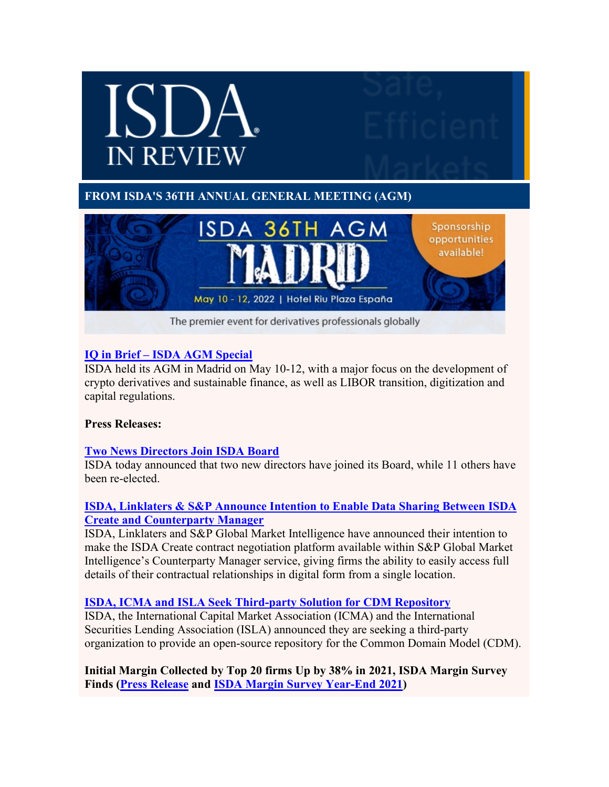

# **IQ in Brief – [ISDA AGM Special](https://urldefense.proofpoint.com/v2/url?u=http-3A__isda.informz.net_z_cjUucD9taT04NzMzMTcwJnA9MSZ1PTc1OTYyMjgxMiZsaT03NjU0MDk5Nw_index.html&d=DwMCAw&c=euGZstcaTDllvimEN8b7jXrwqOf-v5A_CdpgnVfiiMM&r=DJQBgW-TDv3WxGTI7dMddw&m=SsMMS23nn4nZbCOnmV6RMWs4ZVSYCHP8wdbuim-cVns&s=RbZ0iBtwXCkLLbjEzkSBpJ4cv_eGkThypqLw1T6uLh8&e=)**

ISDA held its AGM in Madrid on May 10-12, with a major focus on the development of crypto derivatives and sustainable finance, as well as LIBOR transition, digitization and capital regulations.

#### **Press Releases:**

## **[Two News Directors Join ISDA Board](https://urldefense.proofpoint.com/v2/url?u=http-3A__isda.informz.net_z_cjUucD9taT04NzMzMTcwJnA9MSZ1PTc1OTYyMjgxMiZsaT03NjU0MDk5OA_index.html&d=DwMCAw&c=euGZstcaTDllvimEN8b7jXrwqOf-v5A_CdpgnVfiiMM&r=DJQBgW-TDv3WxGTI7dMddw&m=SsMMS23nn4nZbCOnmV6RMWs4ZVSYCHP8wdbuim-cVns&s=5n-dCneY5YWVVKA4MeP48l-5jvDyx4rN84mo419dAP8&e=)**

ISDA today announced that two new directors have joined its Board, while 11 others have been re-elected.

## **[ISDA, Linklaters & S&P Announce Intention to Enable Data Sharing Between ISDA](https://urldefense.proofpoint.com/v2/url?u=http-3A__isda.informz.net_z_cjUucD9taT04NzMzMTcwJnA9MSZ1PTc1OTYyMjgxMiZsaT03NjU0MDk5OQ_index.html&d=DwMCAw&c=euGZstcaTDllvimEN8b7jXrwqOf-v5A_CdpgnVfiiMM&r=DJQBgW-TDv3WxGTI7dMddw&m=SsMMS23nn4nZbCOnmV6RMWs4ZVSYCHP8wdbuim-cVns&s=br4KiWhXPQk3T5nVnQ9eT2OP6EOBEfUBNwMIkdcpuEw&e=)  [Create and Counterparty Manager](https://urldefense.proofpoint.com/v2/url?u=http-3A__isda.informz.net_z_cjUucD9taT04NzMzMTcwJnA9MSZ1PTc1OTYyMjgxMiZsaT03NjU0MDk5OQ_index.html&d=DwMCAw&c=euGZstcaTDllvimEN8b7jXrwqOf-v5A_CdpgnVfiiMM&r=DJQBgW-TDv3WxGTI7dMddw&m=SsMMS23nn4nZbCOnmV6RMWs4ZVSYCHP8wdbuim-cVns&s=br4KiWhXPQk3T5nVnQ9eT2OP6EOBEfUBNwMIkdcpuEw&e=)**

ISDA, Linklaters and S&P Global Market Intelligence have announced their intention to make the ISDA Create contract negotiation platform available within S&P Global Market Intelligence's Counterparty Manager service, giving firms the ability to easily access full details of their contractual relationships in digital form from a single location.

## **[ISDA, ICMA and ISLA Seek Third-party Solution for CDM Repository](https://urldefense.proofpoint.com/v2/url?u=http-3A__isda.informz.net_z_cjUucD9taT04NzMzMTcwJnA9MSZ1PTc1OTYyMjgxMiZsaT03NjU0MTAwMA_index.html&d=DwMCAw&c=euGZstcaTDllvimEN8b7jXrwqOf-v5A_CdpgnVfiiMM&r=DJQBgW-TDv3WxGTI7dMddw&m=SsMMS23nn4nZbCOnmV6RMWs4ZVSYCHP8wdbuim-cVns&s=LxQn4DpSVCPPpazu9v2Z501cuVfJxuQ6vUPn6atgonI&e=)**

ISDA, the International Capital Market Association (ICMA) and the International Securities Lending Association (ISLA) announced they are seeking a third-party organization to provide an open-source repository for the Common Domain Model (CDM).

**Initial Margin Collected by Top 20 firms Up by 38% in 2021, ISDA Margin Survey Finds [\(Press Release](https://urldefense.proofpoint.com/v2/url?u=http-3A__isda.informz.net_z_cjUucD9taT04NzMzMTcwJnA9MSZ1PTc1OTYyMjgxMiZsaT03NjU0MTAwMQ_index.html&d=DwMCAw&c=euGZstcaTDllvimEN8b7jXrwqOf-v5A_CdpgnVfiiMM&r=DJQBgW-TDv3WxGTI7dMddw&m=SsMMS23nn4nZbCOnmV6RMWs4ZVSYCHP8wdbuim-cVns&s=vrCSeQa8waaUxcE6ArVHjDglrYc7zKYyklxbD_ZSkKE&e=) and [ISDA Margin Survey Year-End 2021\)](https://urldefense.proofpoint.com/v2/url?u=http-3A__isda.informz.net_z_cjUucD9taT04NzMzMTcwJnA9MSZ1PTc1OTYyMjgxMiZsaT03NjU0MTAwMg_index.html&d=DwMCAw&c=euGZstcaTDllvimEN8b7jXrwqOf-v5A_CdpgnVfiiMM&r=DJQBgW-TDv3WxGTI7dMddw&m=SsMMS23nn4nZbCOnmV6RMWs4ZVSYCHP8wdbuim-cVns&s=P6w6ksVeIubd5FUbXhs6ttGegdOd5EiWgm_vmjrCAcI&e=)**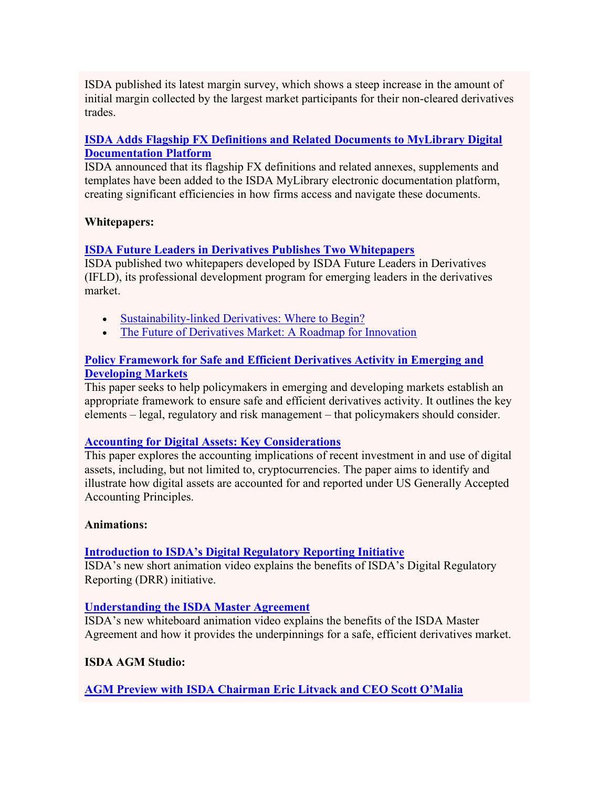ISDA published its latest margin survey, which shows a steep increase in the amount of initial margin collected by the largest market participants for their non-cleared derivatives trades.

## **[ISDA Adds Flagship FX Definitions and Related Documents to MyLibrary Digital](https://urldefense.proofpoint.com/v2/url?u=http-3A__isda.informz.net_z_cjUucD9taT04NzMzMTcwJnA9MSZ1PTc1OTYyMjgxMiZsaT03NjU0MTAwMw_index.html&d=DwMCAw&c=euGZstcaTDllvimEN8b7jXrwqOf-v5A_CdpgnVfiiMM&r=DJQBgW-TDv3WxGTI7dMddw&m=SsMMS23nn4nZbCOnmV6RMWs4ZVSYCHP8wdbuim-cVns&s=SQli1xhA6tybe8nCpAzMKY53w6SLPib0JKqPtqVpkNc&e=) [Documentation Platform](https://urldefense.proofpoint.com/v2/url?u=http-3A__isda.informz.net_z_cjUucD9taT04NzMzMTcwJnA9MSZ1PTc1OTYyMjgxMiZsaT03NjU0MTAwMw_index.html&d=DwMCAw&c=euGZstcaTDllvimEN8b7jXrwqOf-v5A_CdpgnVfiiMM&r=DJQBgW-TDv3WxGTI7dMddw&m=SsMMS23nn4nZbCOnmV6RMWs4ZVSYCHP8wdbuim-cVns&s=SQli1xhA6tybe8nCpAzMKY53w6SLPib0JKqPtqVpkNc&e=)**

ISDA announced that its flagship FX definitions and related annexes, supplements and templates have been added to the ISDA MyLibrary electronic documentation platform, creating significant efficiencies in how firms access and navigate these documents.

## **Whitepapers:**

# **[ISDA Future Leaders in Derivatives Publishes Two Whitepapers](https://urldefense.proofpoint.com/v2/url?u=http-3A__isda.informz.net_z_cjUucD9taT04NzMzMTcwJnA9MSZ1PTc1OTYyMjgxMiZsaT03NjU0MTAwNA_index.html&d=DwMCAw&c=euGZstcaTDllvimEN8b7jXrwqOf-v5A_CdpgnVfiiMM&r=DJQBgW-TDv3WxGTI7dMddw&m=SsMMS23nn4nZbCOnmV6RMWs4ZVSYCHP8wdbuim-cVns&s=EsoiKU5vkC0dyZPp2pNsUotQZGtYvcG8OvFkxVkKjyQ&e=)**

ISDA published two whitepapers developed by ISDA Future Leaders in Derivatives (IFLD), its professional development program for emerging leaders in the derivatives market.

- [Sustainability-linked Derivatives: Where to Begin?](https://urldefense.proofpoint.com/v2/url?u=http-3A__isda.informz.net_z_cjUucD9taT04NzMzMTcwJnA9MSZ1PTc1OTYyMjgxMiZsaT03NjU0MTAwNQ_index.html&d=DwMCAw&c=euGZstcaTDllvimEN8b7jXrwqOf-v5A_CdpgnVfiiMM&r=DJQBgW-TDv3WxGTI7dMddw&m=SsMMS23nn4nZbCOnmV6RMWs4ZVSYCHP8wdbuim-cVns&s=SvT4CoHIXfMFCC-sc2dUWWhPv3_6zNid_TQomrTDgDU&e=)
- [The Future of Derivatives Market: A Roadmap for Innovation](https://urldefense.proofpoint.com/v2/url?u=http-3A__isda.informz.net_z_cjUucD9taT04NzMzMTcwJnA9MSZ1PTc1OTYyMjgxMiZsaT03NjU0MTAwNg_index.html&d=DwMCAw&c=euGZstcaTDllvimEN8b7jXrwqOf-v5A_CdpgnVfiiMM&r=DJQBgW-TDv3WxGTI7dMddw&m=SsMMS23nn4nZbCOnmV6RMWs4ZVSYCHP8wdbuim-cVns&s=YDDMke-NBJuCr65MLYsmn9QPgA8Rgvcu1TesIoj_Vrs&e=)

## **[Policy Framework for Safe and Efficient Derivatives Activity in Emerging and](https://urldefense.proofpoint.com/v2/url?u=http-3A__isda.informz.net_z_cjUucD9taT04NzMzMTcwJnA9MSZ1PTc1OTYyMjgxMiZsaT03NjU0MTAwOA_index.html&d=DwMCAw&c=euGZstcaTDllvimEN8b7jXrwqOf-v5A_CdpgnVfiiMM&r=DJQBgW-TDv3WxGTI7dMddw&m=SsMMS23nn4nZbCOnmV6RMWs4ZVSYCHP8wdbuim-cVns&s=PQROBWx0iFURJyqVqKDoRvC85gr7miRE75F4df8L7Z4&e=)  [Developing Markets](https://urldefense.proofpoint.com/v2/url?u=http-3A__isda.informz.net_z_cjUucD9taT04NzMzMTcwJnA9MSZ1PTc1OTYyMjgxMiZsaT03NjU0MTAwOA_index.html&d=DwMCAw&c=euGZstcaTDllvimEN8b7jXrwqOf-v5A_CdpgnVfiiMM&r=DJQBgW-TDv3WxGTI7dMddw&m=SsMMS23nn4nZbCOnmV6RMWs4ZVSYCHP8wdbuim-cVns&s=PQROBWx0iFURJyqVqKDoRvC85gr7miRE75F4df8L7Z4&e=)**

This paper seeks to help policymakers in emerging and developing markets establish an appropriate framework to ensure safe and efficient derivatives activity. It outlines the key elements – legal, regulatory and risk management – that policymakers should consider.

## **[Accounting for Digital Assets: Key Considerations](https://urldefense.proofpoint.com/v2/url?u=http-3A__isda.informz.net_z_cjUucD9taT04NzMzMTcwJnA9MSZ1PTc1OTYyMjgxMiZsaT03NjU0MTAwOQ_index.html&d=DwMCAw&c=euGZstcaTDllvimEN8b7jXrwqOf-v5A_CdpgnVfiiMM&r=DJQBgW-TDv3WxGTI7dMddw&m=SsMMS23nn4nZbCOnmV6RMWs4ZVSYCHP8wdbuim-cVns&s=Fd2XAoQHSnAlFD746QHO2Jd7mRWtUbkosaf6LfTzY5k&e=)**

This paper explores the accounting implications of recent investment in and use of digital assets, including, but not limited to, cryptocurrencies. The paper aims to identify and illustrate how digital assets are accounted for and reported under US Generally Accepted Accounting Principles.

## **Animations:**

## **[Introduction to ISDA's Digital Regulatory Reporting Initiative](https://urldefense.proofpoint.com/v2/url?u=http-3A__isda.informz.net_z_cjUucD9taT04NzMzMTcwJnA9MSZ1PTc1OTYyMjgxMiZsaT03NjU0MTAxMA_index.html&d=DwMCAw&c=euGZstcaTDllvimEN8b7jXrwqOf-v5A_CdpgnVfiiMM&r=DJQBgW-TDv3WxGTI7dMddw&m=SsMMS23nn4nZbCOnmV6RMWs4ZVSYCHP8wdbuim-cVns&s=VdcpPOEq85j1n2B00FEXRHzkOv9QK0GLQVqpj8b02xU&e=)**

ISDA's new short animation video explains the benefits of ISDA's Digital Regulatory Reporting (DRR) initiative.

## **[Understanding the ISDA Master Agreement](https://urldefense.proofpoint.com/v2/url?u=http-3A__isda.informz.net_z_cjUucD9taT04NzMzMTcwJnA9MSZ1PTc1OTYyMjgxMiZsaT03NjU0MTAxMQ_index.html&d=DwMCAw&c=euGZstcaTDllvimEN8b7jXrwqOf-v5A_CdpgnVfiiMM&r=DJQBgW-TDv3WxGTI7dMddw&m=SsMMS23nn4nZbCOnmV6RMWs4ZVSYCHP8wdbuim-cVns&s=327nWv8KPqY_1FzO10LynXZXPCLWoiUrrUOumpAfsHA&e=)**

ISDA's new whiteboard animation video explains the benefits of the ISDA Master Agreement and how it provides the underpinnings for a safe, efficient derivatives market.

# **ISDA AGM Studio:**

**[AGM Preview with ISDA Chairman Eric Litvack and CEO Scott O'Malia](https://urldefense.proofpoint.com/v2/url?u=http-3A__isda.informz.net_z_cjUucD9taT04NzMzMTcwJnA9MSZ1PTc1OTYyMjgxMiZsaT03NjU0MTAxMg_index.html&d=DwMCAw&c=euGZstcaTDllvimEN8b7jXrwqOf-v5A_CdpgnVfiiMM&r=DJQBgW-TDv3WxGTI7dMddw&m=SsMMS23nn4nZbCOnmV6RMWs4ZVSYCHP8wdbuim-cVns&s=VNKBgkkEc8zahlKT-HACjVZR2JvuqW0fMs0vTVWxBLY&e=)**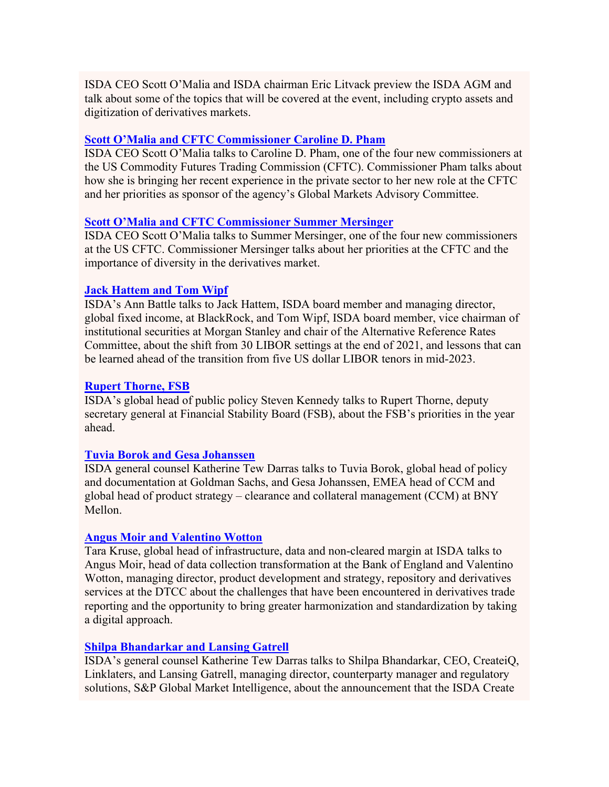ISDA CEO Scott O'Malia and ISDA chairman Eric Litvack preview the ISDA AGM and talk about some of the topics that will be covered at the event, including crypto assets and digitization of derivatives markets.

## **[Scott O'Malia and CFTC Commissioner Caroline D. Pham](https://urldefense.proofpoint.com/v2/url?u=http-3A__isda.informz.net_z_cjUucD9taT04NzMzMTcwJnA9MSZ1PTc1OTYyMjgxMiZsaT03NjU0MTAxMw_index.html&d=DwMCAw&c=euGZstcaTDllvimEN8b7jXrwqOf-v5A_CdpgnVfiiMM&r=DJQBgW-TDv3WxGTI7dMddw&m=SsMMS23nn4nZbCOnmV6RMWs4ZVSYCHP8wdbuim-cVns&s=Hlce3YsMLjTQBJdXgpfbn73NZsNv65jX3UEZEFT9AEQ&e=)**

ISDA CEO Scott O'Malia talks to Caroline D. Pham, one of the four new commissioners at the US Commodity Futures Trading Commission (CFTC). Commissioner Pham talks about how she is bringing her recent experience in the private sector to her new role at the CFTC and her priorities as sponsor of the agency's Global Markets Advisory Committee.

#### **[Scott O'Malia and CFTC Commissioner Summer Mersinger](https://urldefense.proofpoint.com/v2/url?u=http-3A__isda.informz.net_z_cjUucD9taT04NzMzMTcwJnA9MSZ1PTc1OTYyMjgxMiZsaT03NjU0MTAxNQ_index.html&d=DwMCAw&c=euGZstcaTDllvimEN8b7jXrwqOf-v5A_CdpgnVfiiMM&r=DJQBgW-TDv3WxGTI7dMddw&m=SsMMS23nn4nZbCOnmV6RMWs4ZVSYCHP8wdbuim-cVns&s=p6VLO1X3W3cTmJpGS5BLgY1H8K8cayw5wQYuutS89J8&e=)**

ISDA CEO Scott O'Malia talks to Summer Mersinger, one of the four new commissioners at the US CFTC. Commissioner Mersinger talks about her priorities at the CFTC and the importance of diversity in the derivatives market.

#### **[Jack Hattem and Tom Wipf](https://urldefense.proofpoint.com/v2/url?u=http-3A__isda.informz.net_z_cjUucD9taT04NzMzMTcwJnA9MSZ1PTc1OTYyMjgxMiZsaT03NjU0MTAxNw_index.html&d=DwMCAw&c=euGZstcaTDllvimEN8b7jXrwqOf-v5A_CdpgnVfiiMM&r=DJQBgW-TDv3WxGTI7dMddw&m=SsMMS23nn4nZbCOnmV6RMWs4ZVSYCHP8wdbuim-cVns&s=b5aWqpC1T3J5lqa5NF1urIMXMQyRBvsg5wTFm1QiPsM&e=)**

ISDA's Ann Battle talks to Jack Hattem, ISDA board member and managing director, global fixed income, at BlackRock, and Tom Wipf, ISDA board member, vice chairman of institutional securities at Morgan Stanley and chair of the Alternative Reference Rates Committee, about the shift from 30 LIBOR settings at the end of 2021, and lessons that can be learned ahead of the transition from five US dollar LIBOR tenors in mid-2023.

#### **[Rupert Thorne, FSB](https://urldefense.proofpoint.com/v2/url?u=http-3A__isda.informz.net_z_cjUucD9taT04NzMzMTcwJnA9MSZ1PTc1OTYyMjgxMiZsaT03NjU0MTAxOQ_index.html&d=DwMCAw&c=euGZstcaTDllvimEN8b7jXrwqOf-v5A_CdpgnVfiiMM&r=DJQBgW-TDv3WxGTI7dMddw&m=SsMMS23nn4nZbCOnmV6RMWs4ZVSYCHP8wdbuim-cVns&s=5ahu01Hi-XR0kW862EYroEsodb32JB2qIis_0YoGxn8&e=)**

ISDA's global head of public policy Steven Kennedy talks to Rupert Thorne, deputy secretary general at Financial Stability Board (FSB), about the FSB's priorities in the year ahead.

#### **[Tuvia Borok and Gesa Johanssen](https://urldefense.proofpoint.com/v2/url?u=http-3A__isda.informz.net_z_cjUucD9taT04NzMzMTcwJnA9MSZ1PTc1OTYyMjgxMiZsaT03NjU0MTAyMQ_index.html&d=DwMCAw&c=euGZstcaTDllvimEN8b7jXrwqOf-v5A_CdpgnVfiiMM&r=DJQBgW-TDv3WxGTI7dMddw&m=SsMMS23nn4nZbCOnmV6RMWs4ZVSYCHP8wdbuim-cVns&s=zNzJYTn0hY_0kqy56BNRSTGQuzsMWaVgfD0aplaOTi4&e=)**

ISDA general counsel Katherine Tew Darras talks to Tuvia Borok, global head of policy and documentation at Goldman Sachs, and Gesa Johanssen, EMEA head of CCM and global head of product strategy – clearance and collateral management (CCM) at BNY Mellon.

#### **[Angus Moir and Valentino Wotton](https://urldefense.proofpoint.com/v2/url?u=http-3A__isda.informz.net_z_cjUucD9taT04NzMzMTcwJnA9MSZ1PTc1OTYyMjgxMiZsaT03NjU0MTAyMw_index.html&d=DwMCAw&c=euGZstcaTDllvimEN8b7jXrwqOf-v5A_CdpgnVfiiMM&r=DJQBgW-TDv3WxGTI7dMddw&m=SsMMS23nn4nZbCOnmV6RMWs4ZVSYCHP8wdbuim-cVns&s=m5_KFTWPcm27puyMu8TInlTjZX-w202w-WuSEhSg_YQ&e=)**

Tara Kruse, global head of infrastructure, data and non-cleared margin at ISDA talks to Angus Moir, head of data collection transformation at the Bank of England and Valentino Wotton, managing director, product development and strategy, repository and derivatives services at the DTCC about the challenges that have been encountered in derivatives trade reporting and the opportunity to bring greater harmonization and standardization by taking a digital approach.

#### **[Shilpa Bhandarkar and Lansing Gatrell](https://urldefense.proofpoint.com/v2/url?u=http-3A__isda.informz.net_z_cjUucD9taT04NzMzMTcwJnA9MSZ1PTc1OTYyMjgxMiZsaT03NjU0MTAyNQ_index.html&d=DwMCAw&c=euGZstcaTDllvimEN8b7jXrwqOf-v5A_CdpgnVfiiMM&r=DJQBgW-TDv3WxGTI7dMddw&m=SsMMS23nn4nZbCOnmV6RMWs4ZVSYCHP8wdbuim-cVns&s=4GxjD4O9XeJAxq7AjvIbwy3JRW6wqfNB3e8w2wGHtQ0&e=)**

ISDA's general counsel Katherine Tew Darras talks to Shilpa Bhandarkar, CEO, CreateiQ, Linklaters, and Lansing Gatrell, managing director, counterparty manager and regulatory solutions, S&P Global Market Intelligence, about the announcement that the ISDA Create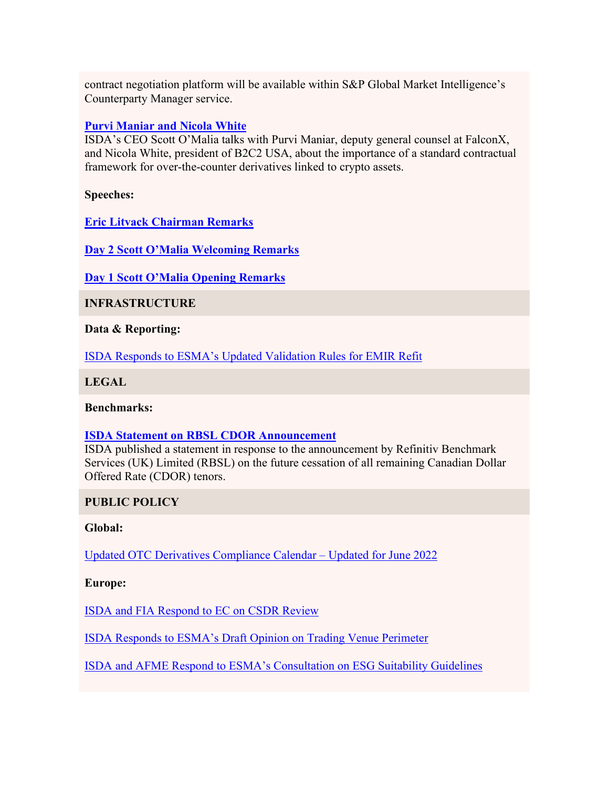contract negotiation platform will be available within S&P Global Market Intelligence's Counterparty Manager service.

## **[Purvi Maniar and Nicola White](https://urldefense.proofpoint.com/v2/url?u=http-3A__isda.informz.net_z_cjUucD9taT04NzMzMTcwJnA9MSZ1PTc1OTYyMjgxMiZsaT03NjU0MTAyNw_index.html&d=DwMCAw&c=euGZstcaTDllvimEN8b7jXrwqOf-v5A_CdpgnVfiiMM&r=DJQBgW-TDv3WxGTI7dMddw&m=SsMMS23nn4nZbCOnmV6RMWs4ZVSYCHP8wdbuim-cVns&s=T-W4tnfks39-pKR1qA9UX0b5DbyDhUVchSUO9JqQW2M&e=)**

ISDA's CEO Scott O'Malia talks with Purvi Maniar, deputy general counsel at FalconX, and Nicola White, president of B2C2 USA, about the importance of a standard contractual framework for over-the-counter derivatives linked to crypto assets.

**Speeches:**

**[Eric Litvack Chairman Remarks](https://urldefense.proofpoint.com/v2/url?u=http-3A__isda.informz.net_z_cjUucD9taT04NzMzMTcwJnA9MSZ1PTc1OTYyMjgxMiZsaT03NjU0MTAyOA_index.html&d=DwMCAw&c=euGZstcaTDllvimEN8b7jXrwqOf-v5A_CdpgnVfiiMM&r=DJQBgW-TDv3WxGTI7dMddw&m=SsMMS23nn4nZbCOnmV6RMWs4ZVSYCHP8wdbuim-cVns&s=GVUoYgw_5NbtA2JY0FVg6ez27Xhd9SE9za9k7LYmGKU&e=)** 

**[Day 2 Scott O'Malia Welcoming Remarks](https://urldefense.proofpoint.com/v2/url?u=http-3A__isda.informz.net_z_cjUucD9taT04NzMzMTcwJnA9MSZ1PTc1OTYyMjgxMiZsaT03NjU0MTAyOQ_index.html&d=DwMCAw&c=euGZstcaTDllvimEN8b7jXrwqOf-v5A_CdpgnVfiiMM&r=DJQBgW-TDv3WxGTI7dMddw&m=SsMMS23nn4nZbCOnmV6RMWs4ZVSYCHP8wdbuim-cVns&s=TJlx9eFM09XCV9IDly-QrKoRUfcSuMBHBXBBoPzWydU&e=)** 

**[Day 1 Scott O'Malia Opening Remarks](https://urldefense.proofpoint.com/v2/url?u=http-3A__isda.informz.net_z_cjUucD9taT04NzMzMTcwJnA9MSZ1PTc1OTYyMjgxMiZsaT03NjU0MTAzMA_index.html&d=DwMCAw&c=euGZstcaTDllvimEN8b7jXrwqOf-v5A_CdpgnVfiiMM&r=DJQBgW-TDv3WxGTI7dMddw&m=SsMMS23nn4nZbCOnmV6RMWs4ZVSYCHP8wdbuim-cVns&s=XAvy08KNn2WP7jEMYBsGgiXJK-1JLNstBYG2wfTfdZU&e=)**

**INFRASTRUCTURE**

**Data & Reporting:**

[ISDA Responds to ESMA's Updated Validation Rules for EMIR Refit](https://urldefense.proofpoint.com/v2/url?u=http-3A__isda.informz.net_z_cjUucD9taT04NzMzMTcwJnA9MSZ1PTc1OTYyMjgxMiZsaT03NjU0MTAzMg_index.html&d=DwMCAw&c=euGZstcaTDllvimEN8b7jXrwqOf-v5A_CdpgnVfiiMM&r=DJQBgW-TDv3WxGTI7dMddw&m=SsMMS23nn4nZbCOnmV6RMWs4ZVSYCHP8wdbuim-cVns&s=-mVBZV4pvdosi0g1DWqG5ZoQUYvJeG1mxak5uJi6K4c&e=)

**LEGAL**

**Benchmarks:**

#### **[ISDA Statement on RBSL CDOR Announcement](https://urldefense.proofpoint.com/v2/url?u=http-3A__isda.informz.net_z_cjUucD9taT04NzMzMTcwJnA9MSZ1PTc1OTYyMjgxMiZsaT03NjU0MTAzNA_index.html&d=DwMCAw&c=euGZstcaTDllvimEN8b7jXrwqOf-v5A_CdpgnVfiiMM&r=DJQBgW-TDv3WxGTI7dMddw&m=SsMMS23nn4nZbCOnmV6RMWs4ZVSYCHP8wdbuim-cVns&s=4IH7V5dpekexp4nhCq1KwvKX09yjEynFjdcnu6AEmj8&e=)**

ISDA published a statement in response to the announcement by Refinitiv Benchmark Services (UK) Limited (RBSL) on the future cessation of all remaining Canadian Dollar Offered Rate (CDOR) tenors.

#### **PUBLIC POLICY**

#### **Global:**

[Updated OTC Derivatives Compliance Calendar –](https://urldefense.proofpoint.com/v2/url?u=http-3A__isda.informz.net_z_cjUucD9taT04NzMzMTcwJnA9MSZ1PTc1OTYyMjgxMiZsaT03NjU0MTAzNg_index.html&d=DwMCAw&c=euGZstcaTDllvimEN8b7jXrwqOf-v5A_CdpgnVfiiMM&r=DJQBgW-TDv3WxGTI7dMddw&m=SsMMS23nn4nZbCOnmV6RMWs4ZVSYCHP8wdbuim-cVns&s=6NA540G0Bn1ydCk5SVIw8_rZUaFh-A_03TEv0VXhUt4&e=) Updated for June 2022

**Europe:**

[ISDA and FIA Respond to EC on CSDR Review](https://urldefense.proofpoint.com/v2/url?u=http-3A__isda.informz.net_z_cjUucD9taT04NzMzMTcwJnA9MSZ1PTc1OTYyMjgxMiZsaT03NjU0MTAzOA_index.html&d=DwMCAw&c=euGZstcaTDllvimEN8b7jXrwqOf-v5A_CdpgnVfiiMM&r=DJQBgW-TDv3WxGTI7dMddw&m=SsMMS23nn4nZbCOnmV6RMWs4ZVSYCHP8wdbuim-cVns&s=9VX5mT7zHefknV-V71btW5QMFkHaw-Pv0kAyUIdQ4SA&e=)

[ISDA Responds to ESMA's Draft Opinion on Trading Venue Perimeter](https://urldefense.proofpoint.com/v2/url?u=http-3A__isda.informz.net_z_cjUucD9taT04NzMzMTcwJnA9MSZ1PTc1OTYyMjgxMiZsaT03NjU0MTA0MA_index.html&d=DwMCAw&c=euGZstcaTDllvimEN8b7jXrwqOf-v5A_CdpgnVfiiMM&r=DJQBgW-TDv3WxGTI7dMddw&m=SsMMS23nn4nZbCOnmV6RMWs4ZVSYCHP8wdbuim-cVns&s=ZmdjM7jc-JTYVjdEEOhcokObS54rUb_mSIiW9mCkZVs&e=)

[ISDA and AFME Respond to ESMA's Consultation on ESG Suitability Guidelines](https://urldefense.proofpoint.com/v2/url?u=http-3A__isda.informz.net_z_cjUucD9taT04NzMzMTcwJnA9MSZ1PTc1OTYyMjgxMiZsaT03NjU0MTA0Mg_index.html&d=DwMCAw&c=euGZstcaTDllvimEN8b7jXrwqOf-v5A_CdpgnVfiiMM&r=DJQBgW-TDv3WxGTI7dMddw&m=SsMMS23nn4nZbCOnmV6RMWs4ZVSYCHP8wdbuim-cVns&s=-jq4Oq9MLlgTkeYo3NBEGdixpqs8nQPOIxfMko2bZu0&e=)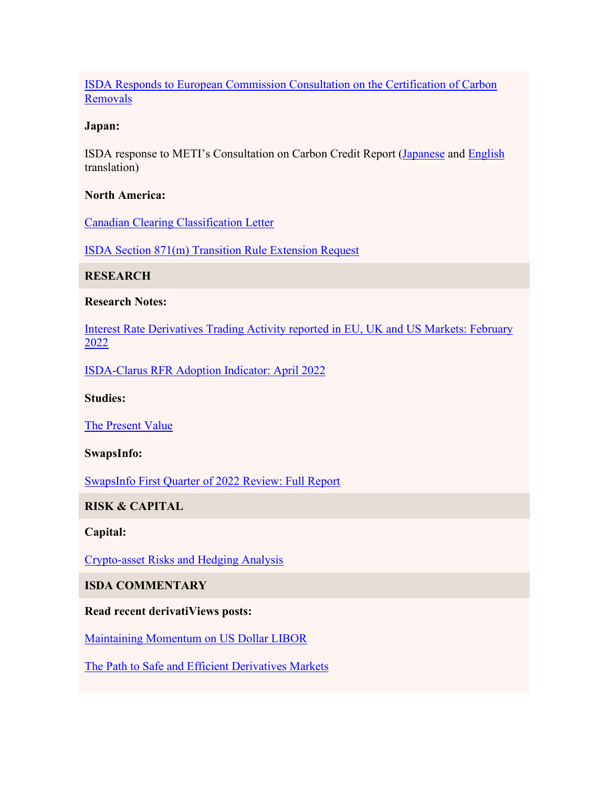[ISDA Responds to European Commission Consultation on the Certification of Carbon](https://urldefense.proofpoint.com/v2/url?u=http-3A__isda.informz.net_z_cjUucD9taT04NzMzMTcwJnA9MSZ1PTc1OTYyMjgxMiZsaT03NjU0MTA0NA_index.html&d=DwMCAw&c=euGZstcaTDllvimEN8b7jXrwqOf-v5A_CdpgnVfiiMM&r=DJQBgW-TDv3WxGTI7dMddw&m=SsMMS23nn4nZbCOnmV6RMWs4ZVSYCHP8wdbuim-cVns&s=T9PRwbu0L0uARd6oS2WrBdul1z82tWhzNoqdLaCRggg&e=)  [Removals](https://urldefense.proofpoint.com/v2/url?u=http-3A__isda.informz.net_z_cjUucD9taT04NzMzMTcwJnA9MSZ1PTc1OTYyMjgxMiZsaT03NjU0MTA0NA_index.html&d=DwMCAw&c=euGZstcaTDllvimEN8b7jXrwqOf-v5A_CdpgnVfiiMM&r=DJQBgW-TDv3WxGTI7dMddw&m=SsMMS23nn4nZbCOnmV6RMWs4ZVSYCHP8wdbuim-cVns&s=T9PRwbu0L0uARd6oS2WrBdul1z82tWhzNoqdLaCRggg&e=)

#### **Japan:**

ISDA response to METI's Consultation on Carbon Credit Report [\(Japanese](https://urldefense.proofpoint.com/v2/url?u=http-3A__isda.informz.net_z_cjUucD9taT04NzMzMTcwJnA9MSZ1PTc1OTYyMjgxMiZsaT03NjU0MTA0Ng_index.html&d=DwMCAw&c=euGZstcaTDllvimEN8b7jXrwqOf-v5A_CdpgnVfiiMM&r=DJQBgW-TDv3WxGTI7dMddw&m=SsMMS23nn4nZbCOnmV6RMWs4ZVSYCHP8wdbuim-cVns&s=3P5pNWia9_ijiK23egzcutKd42a3xLqCR1o_IBBhwQw&e=) and [English](https://urldefense.proofpoint.com/v2/url?u=http-3A__isda.informz.net_z_cjUucD9taT04NzMzMTcwJnA9MSZ1PTc1OTYyMjgxMiZsaT03NjU0MTA0OA_index.html&d=DwMCAw&c=euGZstcaTDllvimEN8b7jXrwqOf-v5A_CdpgnVfiiMM&r=DJQBgW-TDv3WxGTI7dMddw&m=SsMMS23nn4nZbCOnmV6RMWs4ZVSYCHP8wdbuim-cVns&s=qw_qtwleuCKtr0CQblTZQoV-Cl1bt5WlCdqneMK3z1M&e=) translation)

## **North America:**

[Canadian Clearing Classification Letter](https://urldefense.proofpoint.com/v2/url?u=http-3A__isda.informz.net_z_cjUucD9taT04NzMzMTcwJnA9MSZ1PTc1OTYyMjgxMiZsaT03NjU0MTA1MA_index.html&d=DwMCAw&c=euGZstcaTDllvimEN8b7jXrwqOf-v5A_CdpgnVfiiMM&r=DJQBgW-TDv3WxGTI7dMddw&m=SsMMS23nn4nZbCOnmV6RMWs4ZVSYCHP8wdbuim-cVns&s=HZe784ZcoLy3SxxtbLsMBUka51Xm8OqtFhQ-RVBNUaI&e=)

[ISDA Section 871\(m\) Transition Rule Extension Request](https://urldefense.proofpoint.com/v2/url?u=http-3A__isda.informz.net_z_cjUucD9taT04NzMzMTcwJnA9MSZ1PTc1OTYyMjgxMiZsaT03NjU0MTA1Mg_index.html&d=DwMCAw&c=euGZstcaTDllvimEN8b7jXrwqOf-v5A_CdpgnVfiiMM&r=DJQBgW-TDv3WxGTI7dMddw&m=SsMMS23nn4nZbCOnmV6RMWs4ZVSYCHP8wdbuim-cVns&s=kknz9wvbUMmcWqPMqH_FDsTSK5rBOnDSJu9UEU2HX-8&e=)

**RESEARCH**

#### **Research Notes:**

[Interest Rate Derivatives Trading Activity reported in EU, UK and US Markets: February](https://urldefense.proofpoint.com/v2/url?u=http-3A__isda.informz.net_z_cjUucD9taT04NzMzMTcwJnA9MSZ1PTc1OTYyMjgxMiZsaT03NjU0MTA1NA_index.html&d=DwMCAw&c=euGZstcaTDllvimEN8b7jXrwqOf-v5A_CdpgnVfiiMM&r=DJQBgW-TDv3WxGTI7dMddw&m=SsMMS23nn4nZbCOnmV6RMWs4ZVSYCHP8wdbuim-cVns&s=_9rGAVlflvKsDeRw_ky0Qw8QpI1xMTIuKWRyY9s0tfc&e=)  [2022](https://urldefense.proofpoint.com/v2/url?u=http-3A__isda.informz.net_z_cjUucD9taT04NzMzMTcwJnA9MSZ1PTc1OTYyMjgxMiZsaT03NjU0MTA1NA_index.html&d=DwMCAw&c=euGZstcaTDllvimEN8b7jXrwqOf-v5A_CdpgnVfiiMM&r=DJQBgW-TDv3WxGTI7dMddw&m=SsMMS23nn4nZbCOnmV6RMWs4ZVSYCHP8wdbuim-cVns&s=_9rGAVlflvKsDeRw_ky0Qw8QpI1xMTIuKWRyY9s0tfc&e=)

[ISDA-Clarus RFR Adoption Indicator: April 2022](https://urldefense.proofpoint.com/v2/url?u=http-3A__isda.informz.net_z_cjUucD9taT04NzMzMTcwJnA9MSZ1PTc1OTYyMjgxMiZsaT03NjU0MTA1Ng_index.html&d=DwMCAw&c=euGZstcaTDllvimEN8b7jXrwqOf-v5A_CdpgnVfiiMM&r=DJQBgW-TDv3WxGTI7dMddw&m=SsMMS23nn4nZbCOnmV6RMWs4ZVSYCHP8wdbuim-cVns&s=ML2XQ3aZoMXC1hJJjjn8OgHNZHqJbhT4b5asnfyY8QM&e=)

#### **Studies:**

[The Present Value](https://urldefense.proofpoint.com/v2/url?u=http-3A__isda.informz.net_z_cjUucD9taT04NzMzMTcwJnA9MSZ1PTc1OTYyMjgxMiZsaT03NjU0MTA1OA_index.html&d=DwMCAw&c=euGZstcaTDllvimEN8b7jXrwqOf-v5A_CdpgnVfiiMM&r=DJQBgW-TDv3WxGTI7dMddw&m=SsMMS23nn4nZbCOnmV6RMWs4ZVSYCHP8wdbuim-cVns&s=EMJ0cqGfnvB4A15kuO_nSGVHIk8cIBQ883AhVRhWJJI&e=)

## **SwapsInfo:**

[SwapsInfo First Quarter of 2022 Review: Full Report](https://urldefense.proofpoint.com/v2/url?u=http-3A__isda.informz.net_z_cjUucD9taT04NzMzMTcwJnA9MSZ1PTc1OTYyMjgxMiZsaT03NjU0MTA2MA_index.html&d=DwMCAw&c=euGZstcaTDllvimEN8b7jXrwqOf-v5A_CdpgnVfiiMM&r=DJQBgW-TDv3WxGTI7dMddw&m=SsMMS23nn4nZbCOnmV6RMWs4ZVSYCHP8wdbuim-cVns&s=U5bOKbNRyLR3P946ZiISBlBLJH9dRdVmWkepgPGd8R4&e=)

## **RISK & CAPITAL**

#### **Capital:**

[Crypto-asset Risks and Hedging Analysis](https://urldefense.proofpoint.com/v2/url?u=http-3A__isda.informz.net_z_cjUucD9taT04NzMzMTcwJnA9MSZ1PTc1OTYyMjgxMiZsaT03NjU0MTA2MQ_index.html&d=DwMCAw&c=euGZstcaTDllvimEN8b7jXrwqOf-v5A_CdpgnVfiiMM&r=DJQBgW-TDv3WxGTI7dMddw&m=SsMMS23nn4nZbCOnmV6RMWs4ZVSYCHP8wdbuim-cVns&s=6DNnUOH2rfByxoE9UlgmXK0ykIwCM4YEnFWY3-myo4A&e=)

## **ISDA COMMENTARY**

#### **Read recent derivatiViews posts:**

[Maintaining Momentum on US Dollar LIBOR](https://urldefense.proofpoint.com/v2/url?u=http-3A__isda.informz.net_z_cjUucD9taT04NzMzMTcwJnA9MSZ1PTc1OTYyMjgxMiZsaT03NjU0MTA2Mg_index.html&d=DwMCAw&c=euGZstcaTDllvimEN8b7jXrwqOf-v5A_CdpgnVfiiMM&r=DJQBgW-TDv3WxGTI7dMddw&m=SsMMS23nn4nZbCOnmV6RMWs4ZVSYCHP8wdbuim-cVns&s=PzZYF6Y8fXVuiyOm18KxmBhb_t9cqzPig_SRcvVoZSw&e=)

[The Path to Safe and Efficient Derivatives Markets](https://urldefense.proofpoint.com/v2/url?u=http-3A__isda.informz.net_z_cjUucD9taT04NzMzMTcwJnA9MSZ1PTc1OTYyMjgxMiZsaT03NjU0MTA2Mw_index.html&d=DwMCAw&c=euGZstcaTDllvimEN8b7jXrwqOf-v5A_CdpgnVfiiMM&r=DJQBgW-TDv3WxGTI7dMddw&m=SsMMS23nn4nZbCOnmV6RMWs4ZVSYCHP8wdbuim-cVns&s=3YfB-1AtpTLmS0B9KIjwBUmSIZDYHJSbQuyanL2bns4&e=)